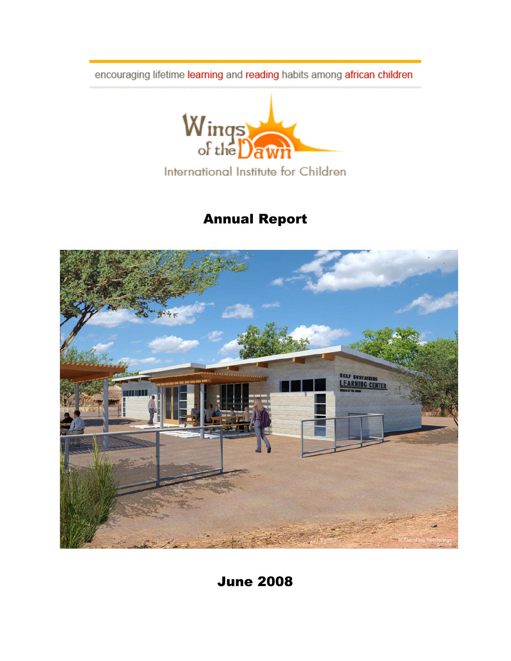encouraging lifetime learning and reading habits among african children



# Annual Report



June 2008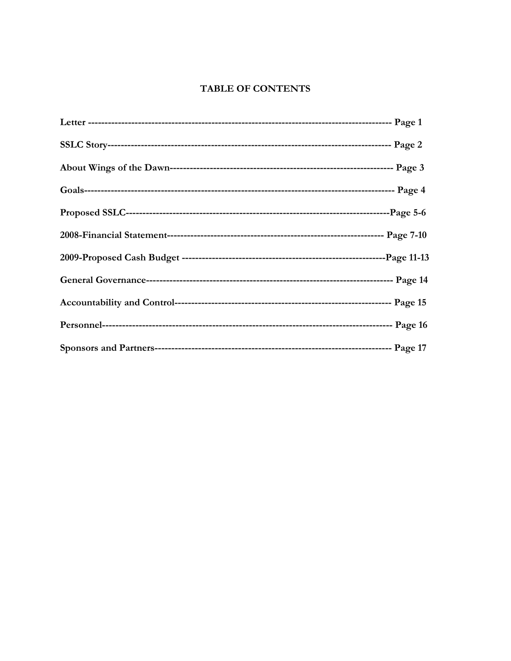#### TABLE OF CONTENTS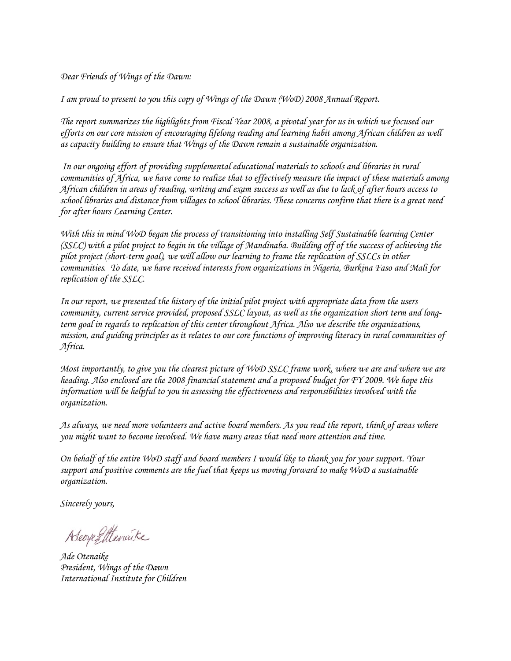*Dear Friends of Wings of the Dawn:*

*I am proud to present to you this copy of Wings of the Dawn (WoD) 2008 Annual Report.* 

*The report summarizes the highlights from Fiscal Year 2008, a pivotal year for us in which we focused our efforts on our core mission of encouraging lifelong reading and learning habit among African children as well as capacity building to ensure that Wings of the Dawn remain a sustainable organization.*

*In our ongoing effort of providing supplemental educational materials to schools and libraries in rural communities of Africa, we have come to realize that to effectively measure the impact of these materials among African children in areas of reading, writing and exam success as well as due to lack of after hours access to school libraries and distance from villages to school libraries. These concerns confirm that there is a great need for after hours Learning Center.* 

*With this in mind WoD began the process of transitioning into installing Self Sustainable learning Center (SSLC) with a pilot project to begin in the village of Mandinaba. Building off of the success of achieving the pilot project (short-term goal), we will allow our learning to frame the replication of SSLCs in other communities. To date, we have received interests from organizations in Nigeria, Burkina Faso and Mali for replication of the SSLC.* 

*In our report, we presented the history of the initial pilot project with appropriate data from the users community, current service provided, proposed SSLC layout, as well as the organization short term and longterm goal in regards to replication of this center throughout Africa. Also we describe the organizations, mission, and guiding principles as it relates to our core functions of improving literacy in rural communities of Africa.*

*Most importantly, to give you the clearest picture of WoD SSLC frame work, where we are and where we are heading. Also enclosed are the 2008 financial statement and a proposed budget for FY 2009. We hope this information will be helpful to you in assessing the effectiveness and responsibilities involved with the organization.* 

*As always, we need more volunteers and active board members. As you read the report, think of areas where you might want to become involved. We have many areas that need more attention and time.* 

*On behalf of the entire WoD staff and board members I would like to thank you for your support. Your support and positive comments are the fuel that keeps us moving forward to make WoD a sustainable organization.*

*Sincerely yours,*

Adeopegittenaike

*Ade Otenaike President, Wings of the Dawn International Institute for Children*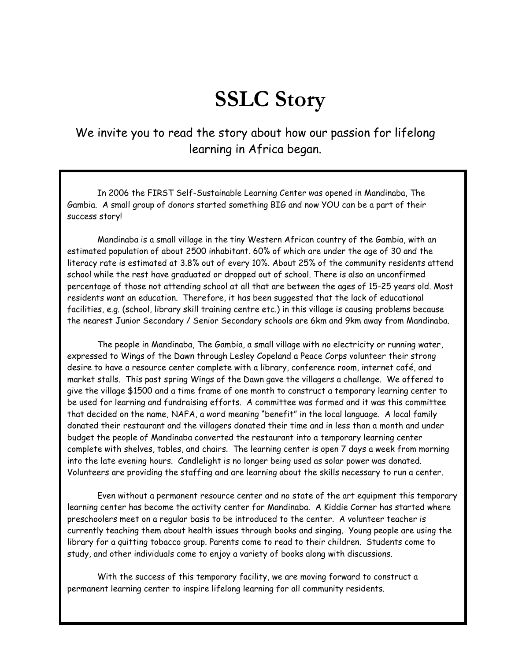# **SSLC Story**

We invite you to read the story about how our passion for lifelong learning in Africa began.

In 2006 the FIRST Self-Sustainable Learning Center was opened in Mandinaba, The Gambia. A small group of donors started something BIG and now YOU can be a part of their success story!

Mandinaba is a small village in the tiny Western African country of the Gambia, with an estimated population of about 2500 inhabitant. 60% of which are under the age of 30 and the literacy rate is estimated at 3.8% out of every 10%. About 25% of the community residents attend school while the rest have graduated or dropped out of school. There is also an unconfirmed percentage of those not attending school at all that are between the ages of 15-25 years old. Most residents want an education. Therefore, it has been suggested that the lack of educational facilities, e.g. (school, library skill training centre etc.) in this village is causing problems because the nearest Junior Secondary / Senior Secondary schools are 6km and 9km away from Mandinaba.

The people in Mandinaba, The Gambia, a small village with no electricity or running water, expressed to Wings of the Dawn through Lesley Copeland a Peace Corps volunteer their strong desire to have a resource center complete with a library, conference room, internet café, and market stalls. This past spring Wings of the Dawn gave the villagers a challenge. We offered to give the village \$1500 and a time frame of one month to construct a temporary learning center to be used for learning and fundraising efforts. A committee was formed and it was this committee that decided on the name, NAFA, a word meaning "benefit" in the local language. A local family donated their restaurant and the villagers donated their time and in less than a month and under budget the people of Mandinaba converted the restaurant into a temporary learning center complete with shelves, tables, and chairs. The learning center is open 7 days a week from morning into the late evening hours. Candlelight is no longer being used as solar power was donated. Volunteers are providing the staffing and are learning about the skills necessary to run a center.

Even without a permanent resource center and no state of the art equipment this temporary learning center has become the activity center for Mandinaba. A Kiddie Corner has started where preschoolers meet on a regular basis to be introduced to the center. A volunteer teacher is currently teaching them about health issues through books and singing. Young people are using the library for a quitting tobacco group. Parents come to read to their children. Students come to study, and other individuals come to enjoy a variety of books along with discussions.

With the success of this temporary facility, we are moving forward to construct a permanent learning center to inspire lifelong learning for all community residents.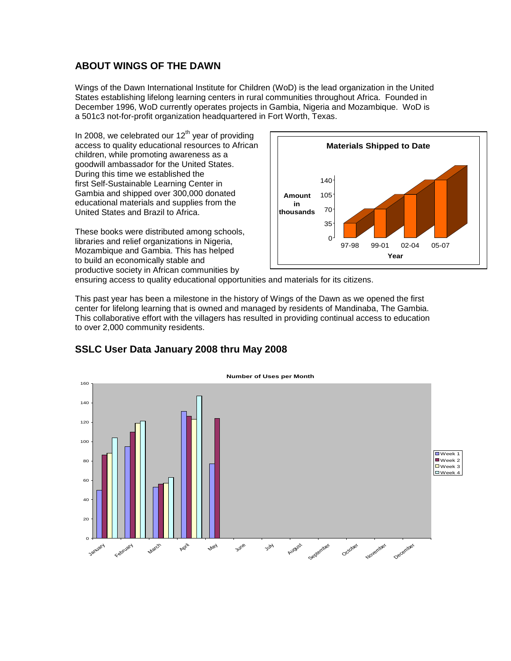#### **ABOUT WINGS OF THE DAWN**

Wings of the Dawn International Institute for Children (WoD) is the lead organization in the United States establishing lifelong learning centers in rural communities throughout Africa. Founded in December 1996, WoD currently operates projects in Gambia, Nigeria and Mozambique. WoD is a 501c3 not-for-profit organization headquartered in Fort Worth, Texas.

In 2008, we celebrated our  $12<sup>th</sup>$  year of providing access to quality educational resources to African children, while promoting awareness as a goodwill ambassador for the United States. During this time we established the first Self-Sustainable Learning Center in Gambia and shipped over 300,000 donated educational materials and supplies from the United States and Brazil to Africa.

These books were distributed among schools, libraries and relief organizations in Nigeria, Mozambique and Gambia. This has helped to build an economically stable and productive society in African communities by



ensuring access to quality educational opportunities and materials for its citizens.

This past year has been a milestone in the history of Wings of the Dawn as we opened the first center for lifelong learning that is owned and managed by residents of Mandinaba, The Gambia. This collaborative effort with the villagers has resulted in providing continual access to education to over 2,000 community residents.



#### **SSLC User Data January 2008 thru May 2008**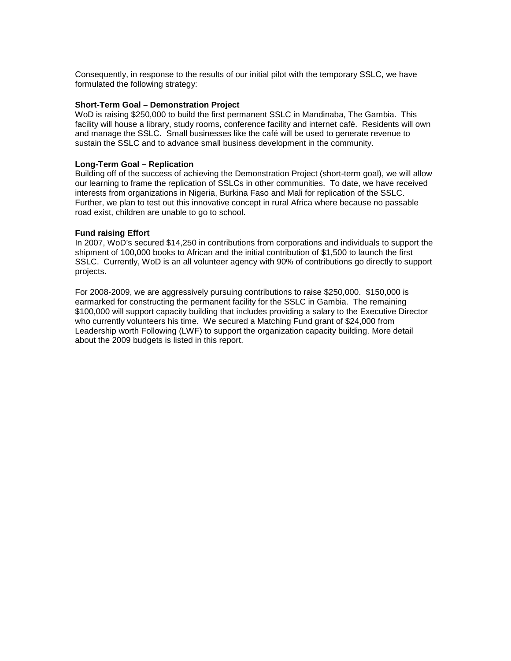Consequently, in response to the results of our initial pilot with the temporary SSLC, we have formulated the following strategy:

#### **Short-Term Goal – Demonstration Project**

WoD is raising \$250,000 to build the first permanent SSLC in Mandinaba, The Gambia. This facility will house a library, study rooms, conference facility and internet café. Residents will own and manage the SSLC. Small businesses like the café will be used to generate revenue to sustain the SSLC and to advance small business development in the community.

#### **Long-Term Goal – Replication**

Building off of the success of achieving the Demonstration Project (short-term goal), we will allow our learning to frame the replication of SSLCs in other communities. To date, we have received interests from organizations in Nigeria, Burkina Faso and Mali for replication of the SSLC. Further, we plan to test out this innovative concept in rural Africa where because no passable road exist, children are unable to go to school.

#### **Fund raising Effort**

In 2007, WoD's secured \$14,250 in contributions from corporations and individuals to support the shipment of 100,000 books to African and the initial contribution of \$1,500 to launch the first SSLC. Currently, WoD is an all volunteer agency with 90% of contributions go directly to support projects.

For 2008-2009, we are aggressively pursuing contributions to raise \$250,000. \$150,000 is earmarked for constructing the permanent facility for the SSLC in Gambia. The remaining \$100,000 will support capacity building that includes providing a salary to the Executive Director who currently volunteers his time. We secured a Matching Fund grant of \$24,000 from Leadership worth Following (LWF) to support the organization capacity building. More detail about the 2009 budgets is listed in this report.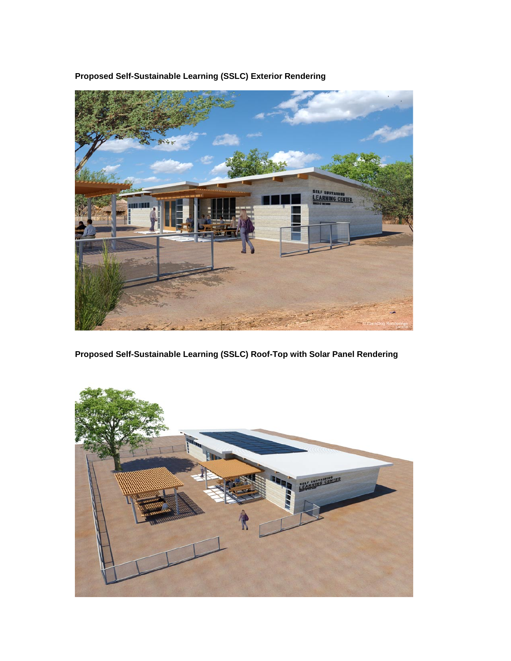

**Proposed Self-Sustainable Learning (SSLC) Exterior Rendering**

**Proposed Self-Sustainable Learning (SSLC) Roof-Top with Solar Panel Rendering**

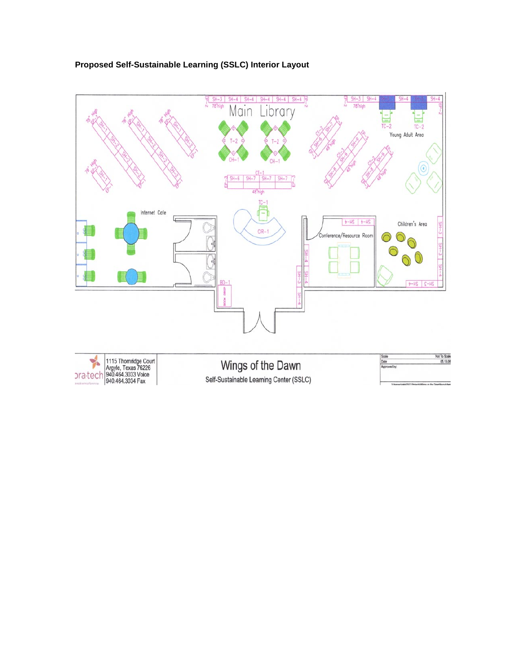

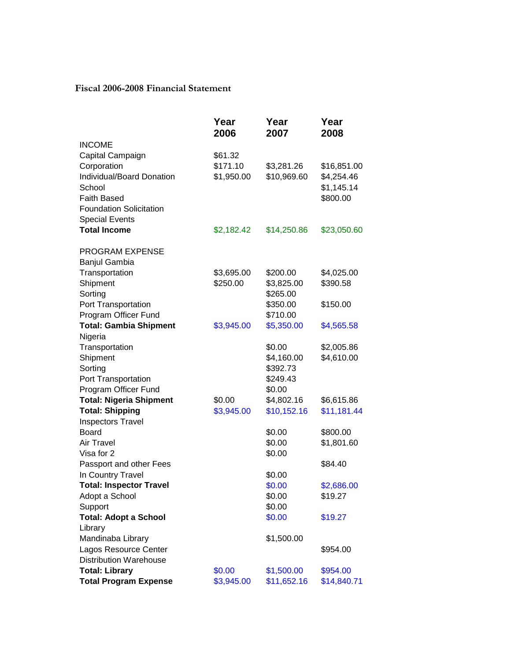#### **Fiscal 2006-2008 Financial Statement**

|                                | Year<br>2006 | Year<br>2007           | Year<br>2008 |
|--------------------------------|--------------|------------------------|--------------|
| <b>INCOME</b>                  |              |                        |              |
| Capital Campaign               | \$61.32      |                        |              |
| Corporation                    | \$171.10     | \$3,281.26             | \$16,851.00  |
| Individual/Board Donation      | \$1,950.00   | \$10,969.60            | \$4,254.46   |
| School                         |              |                        | \$1,145.14   |
| <b>Faith Based</b>             |              |                        | \$800.00     |
| <b>Foundation Solicitation</b> |              |                        |              |
| <b>Special Events</b>          |              |                        |              |
| <b>Total Income</b>            | \$2,182.42   | \$14,250.86            | \$23,050.60  |
| <b>PROGRAM EXPENSE</b>         |              |                        |              |
| Banjul Gambia                  |              |                        |              |
| Transportation                 | \$3,695.00   | \$200.00               | \$4,025.00   |
| Shipment                       | \$250.00     | \$3,825.00             | \$390.58     |
| Sorting                        |              | \$265.00               |              |
| Port Transportation            |              | \$350.00               | \$150.00     |
| Program Officer Fund           |              | \$710.00               |              |
| <b>Total: Gambia Shipment</b>  | \$3,945.00   | \$5,350.00             | \$4,565.58   |
| Nigeria                        |              |                        |              |
| Transportation                 |              | \$0.00                 | \$2,005.86   |
| Shipment<br>Sorting            |              | \$4,160.00<br>\$392.73 | \$4,610.00   |
| Port Transportation            |              | \$249.43               |              |
| Program Officer Fund           |              | \$0.00                 |              |
| <b>Total: Nigeria Shipment</b> | \$0.00       | \$4,802.16             | \$6,615.86   |
| <b>Total: Shipping</b>         | \$3,945.00   | \$10,152.16            | \$11,181.44  |
| <b>Inspectors Travel</b>       |              |                        |              |
| <b>Board</b>                   |              | \$0.00                 | \$800.00     |
| Air Travel                     |              | \$0.00                 | \$1,801.60   |
| Visa for 2                     |              | \$0.00                 |              |
| Passport and other Fees        |              |                        | \$84.40      |
| In Country Travel              |              | \$0.00                 |              |
| <b>Total: Inspector Travel</b> |              | \$0.00                 | \$2,686.00   |
| Adopt a School                 |              | \$0.00                 | \$19.27      |
| Support                        |              | \$0.00                 |              |
| <b>Total: Adopt a School</b>   |              | \$0.00                 | \$19.27      |
| Library                        |              |                        |              |
| Mandinaba Library              |              | \$1,500.00             |              |
| Lagos Resource Center          |              |                        | \$954.00     |
| <b>Distribution Warehouse</b>  |              |                        |              |
| <b>Total: Library</b>          | \$0.00       | \$1,500.00             | \$954.00     |
| <b>Total Program Expense</b>   | \$3,945.00   | \$11,652.16            | \$14,840.71  |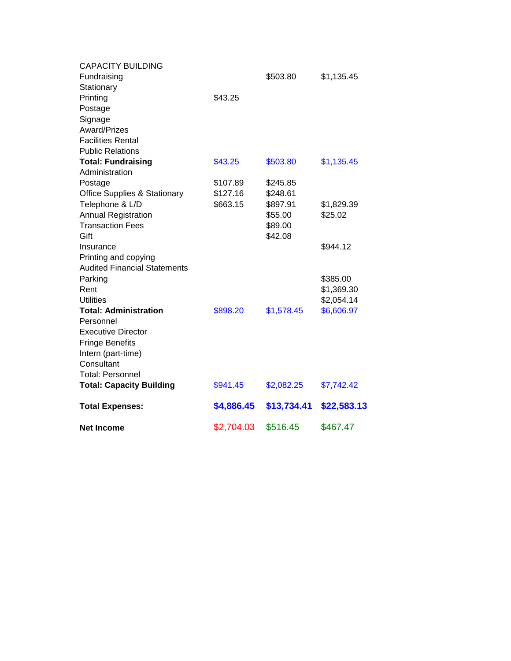| <b>CAPACITY BUILDING</b>                |            |             |             |
|-----------------------------------------|------------|-------------|-------------|
| Fundraising                             |            | \$503.80    | \$1,135.45  |
| Stationary                              |            |             |             |
| Printing                                | \$43.25    |             |             |
| Postage                                 |            |             |             |
| Signage                                 |            |             |             |
| Award/Prizes                            |            |             |             |
| <b>Facilities Rental</b>                |            |             |             |
| <b>Public Relations</b>                 |            |             |             |
| <b>Total: Fundraising</b>               | \$43.25    | \$503.80    | \$1,135.45  |
| Administration                          |            |             |             |
| Postage                                 | \$107.89   | \$245.85    |             |
| <b>Office Supplies &amp; Stationary</b> | \$127.16   | \$248.61    |             |
| Telephone & L/D                         | \$663.15   | \$897.91    | \$1,829.39  |
| <b>Annual Registration</b>              |            | \$55.00     | \$25.02     |
| <b>Transaction Fees</b>                 |            | \$89.00     |             |
| Gift                                    |            | \$42.08     |             |
| Insurance                               |            |             | \$944.12    |
| Printing and copying                    |            |             |             |
| <b>Audited Financial Statements</b>     |            |             |             |
| Parking                                 |            |             | \$385.00    |
| Rent                                    |            |             | \$1,369.30  |
| <b>Utilities</b>                        |            |             | \$2,054.14  |
| <b>Total: Administration</b>            | \$898.20   | \$1,578.45  | \$6,606.97  |
| Personnel                               |            |             |             |
| <b>Executive Director</b>               |            |             |             |
| <b>Fringe Benefits</b>                  |            |             |             |
| Intern (part-time)                      |            |             |             |
| Consultant                              |            |             |             |
| <b>Total: Personnel</b>                 |            |             |             |
| <b>Total: Capacity Building</b>         | \$941.45   | \$2,082.25  | \$7,742.42  |
| <b>Total Expenses:</b>                  | \$4,886.45 | \$13,734.41 | \$22,583.13 |
| <b>Net Income</b>                       | \$2,704.03 | \$516.45    | \$467.47    |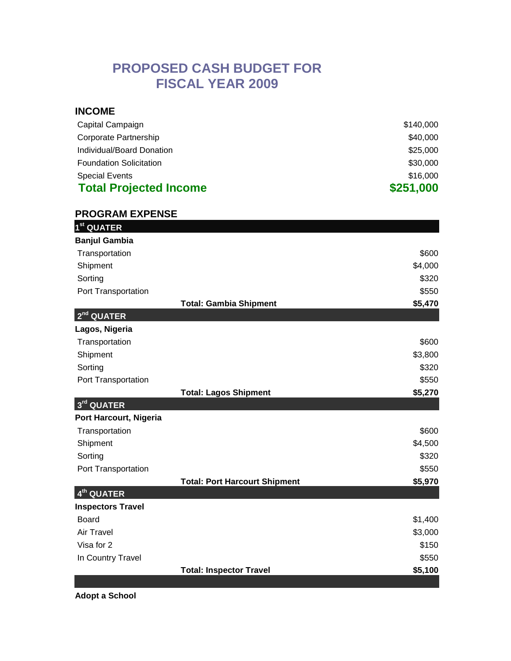# **PROPOSED CASH BUDGET FOR FISCAL YEAR 2009**

#### **INCOME**

| Capital Campaign               | \$140,000 |
|--------------------------------|-----------|
| Corporate Partnership          | \$40,000  |
| Individual/Board Donation      | \$25,000  |
| <b>Foundation Solicitation</b> | \$30,000  |
| <b>Special Events</b>          | \$16,000  |
| <b>Total Projected Income</b>  | \$251,000 |

### **PROGRAM EXPENSE**

| 1 <sup>st</sup> QUATER               |         |
|--------------------------------------|---------|
| <b>Banjul Gambia</b>                 |         |
| Transportation                       | \$600   |
| Shipment                             | \$4,000 |
| Sorting                              | \$320   |
| Port Transportation                  | \$550   |
| <b>Total: Gambia Shipment</b>        | \$5,470 |
| $2nd$ QUATER                         |         |
| Lagos, Nigeria                       |         |
| Transportation                       | \$600   |
| Shipment                             | \$3,800 |
| Sorting                              | \$320   |
| Port Transportation                  | \$550   |
| <b>Total: Lagos Shipment</b>         | \$5,270 |
| 3rd QUATER                           |         |
| Port Harcourt, Nigeria               |         |
| Transportation                       | \$600   |
| Shipment                             | \$4,500 |
| Sorting                              | \$320   |
| Port Transportation                  | \$550   |
| <b>Total: Port Harcourt Shipment</b> | \$5,970 |
| $4th$ QUATER                         |         |
| <b>Inspectors Travel</b>             |         |
| <b>Board</b>                         | \$1,400 |
| <b>Air Travel</b>                    | \$3,000 |
| Visa for 2                           | \$150   |
| In Country Travel                    | \$550   |
| <b>Total: Inspector Travel</b>       | \$5,100 |

**Adopt a School**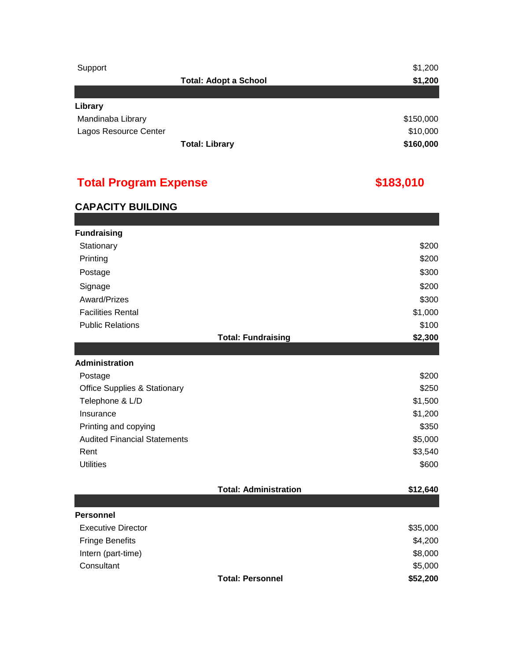| Support               |                              | \$1,200   |
|-----------------------|------------------------------|-----------|
|                       | <b>Total: Adopt a School</b> | \$1,200   |
|                       |                              |           |
| Library               |                              |           |
| Mandinaba Library     |                              | \$150,000 |
| Lagos Resource Center |                              | \$10,000  |
|                       | <b>Total: Library</b>        | \$160,000 |

# **Total Program Expense**

# **\$183,010**

# **CAPACITY BUILDING**

| <b>Fundraising</b><br>Stationary        |                              | \$200    |
|-----------------------------------------|------------------------------|----------|
| Printing                                |                              | \$200    |
|                                         |                              | \$300    |
| Postage                                 |                              |          |
| Signage                                 |                              | \$200    |
| Award/Prizes                            |                              | \$300    |
| <b>Facilities Rental</b>                |                              | \$1,000  |
| <b>Public Relations</b>                 |                              | \$100    |
|                                         | <b>Total: Fundraising</b>    | \$2,300  |
|                                         |                              |          |
| <b>Administration</b>                   |                              |          |
| Postage                                 |                              | \$200    |
| <b>Office Supplies &amp; Stationary</b> |                              | \$250    |
| Telephone & L/D                         |                              | \$1,500  |
| Insurance                               |                              | \$1,200  |
| Printing and copying                    |                              | \$350    |
| <b>Audited Financial Statements</b>     |                              | \$5,000  |
| Rent                                    |                              | \$3,540  |
| <b>Utilities</b>                        |                              | \$600    |
|                                         | <b>Total: Administration</b> | \$12,640 |
|                                         |                              |          |
| <b>Personnel</b>                        |                              |          |
| <b>Executive Director</b>               |                              | \$35,000 |
| <b>Fringe Benefits</b>                  |                              | \$4,200  |
| Intern (part-time)                      |                              | \$8,000  |
| Consultant                              |                              | \$5,000  |
|                                         | <b>Total: Personnel</b>      | \$52,200 |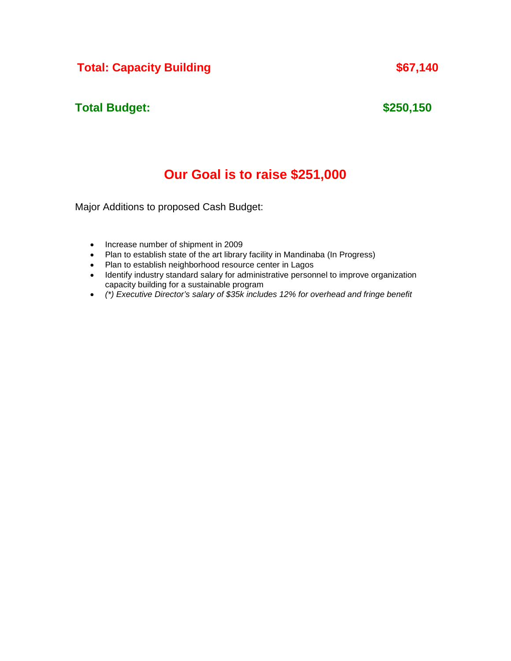# **Total: Capacity Building 1988 \$67,140**

# **Total Budget:**

# **\$250,150**

# **Our Goal is to raise \$251,000**

Major Additions to proposed Cash Budget:

- Increase number of shipment in 2009
- Plan to establish state of the art library facility in Mandinaba (In Progress)
- Plan to establish neighborhood resource center in Lagos
- Identify industry standard salary for administrative personnel to improve organization capacity building for a sustainable program
- *(\*) Executive Director's salary of \$35k includes 12% for overhead and fringe benefit*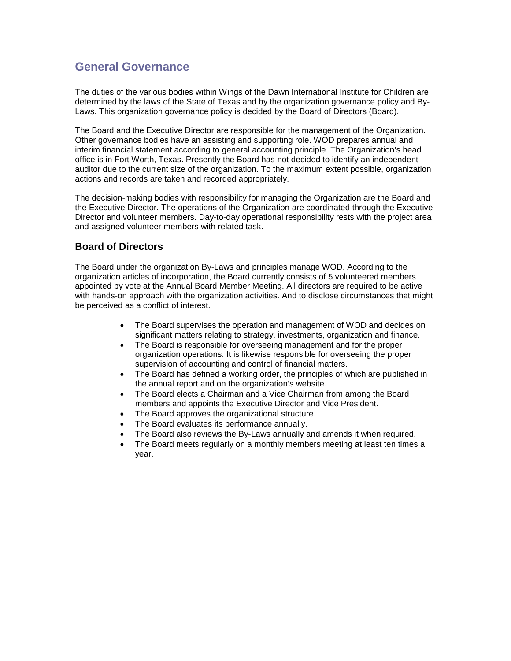# **General Governance**

The duties of the various bodies within Wings of the Dawn International Institute for Children are determined by the laws of the State of Texas and by the organization governance policy and By-Laws. This organization governance policy is decided by the Board of Directors (Board).

The Board and the Executive Director are responsible for the management of the Organization. Other governance bodies have an assisting and supporting role. WOD prepares annual and interim financial statement according to general accounting principle. The Organization's head office is in Fort Worth, Texas. Presently the Board has not decided to identify an independent auditor due to the current size of the organization. To the maximum extent possible, organization actions and records are taken and recorded appropriately.

The decision-making bodies with responsibility for managing the Organization are the Board and the Executive Director. The operations of the Organization are coordinated through the Executive Director and volunteer members. Day-to-day operational responsibility rests with the project area and assigned volunteer members with related task.

#### **Board of Directors**

The Board under the organization By-Laws and principles manage WOD. According to the organization articles of incorporation, the Board currently consists of 5 volunteered members appointed by vote at the Annual Board Member Meeting. All directors are required to be active with hands-on approach with the organization activities. And to disclose circumstances that might be perceived as a conflict of interest.

- The Board supervises the operation and management of WOD and decides on significant matters relating to strategy, investments, organization and finance.
- The Board is responsible for overseeing management and for the proper organization operations. It is likewise responsible for overseeing the proper supervision of accounting and control of financial matters.
- The Board has defined a working order, the principles of which are published in the annual report and on the organization's website.
- The Board elects a Chairman and a Vice Chairman from among the Board members and appoints the Executive Director and Vice President.
- The Board approves the organizational structure.
- The Board evaluates its performance annually.
- The Board also reviews the By-Laws annually and amends it when required.
- The Board meets regularly on a monthly members meeting at least ten times a year.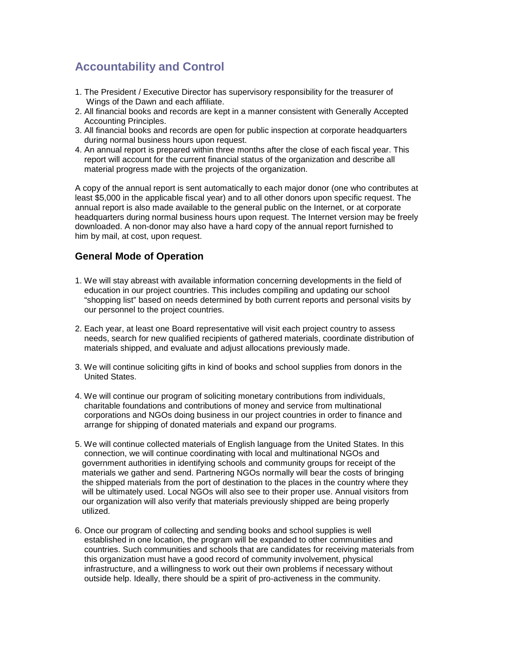# **Accountability and Control**

- 1. The President / Executive Director has supervisory responsibility for the treasurer of Wings of the Dawn and each affiliate.
- 2. All financial books and records are kept in a manner consistent with Generally Accepted Accounting Principles.
- 3. All financial books and records are open for public inspection at corporate headquarters during normal business hours upon request.
- 4. An annual report is prepared within three months after the close of each fiscal year. This report will account for the current financial status of the organization and describe all material progress made with the projects of the organization.

A copy of the annual report is sent automatically to each major donor (one who contributes at least \$5,000 in the applicable fiscal year) and to all other donors upon specific request. The annual report is also made available to the general public on the Internet, or at corporate headquarters during normal business hours upon request. The Internet version may be freely downloaded. A non-donor may also have a hard copy of the annual report furnished to him by mail, at cost, upon request.

#### **General Mode of Operation**

- 1. We will stay abreast with available information concerning developments in the field of education in our project countries. This includes compiling and updating our school "shopping list" based on needs determined by both current reports and personal visits by our personnel to the project countries.
- 2. Each year, at least one Board representative will visit each project country to assess needs, search for new qualified recipients of gathered materials, coordinate distribution of materials shipped, and evaluate and adjust allocations previously made.
- 3. We will continue soliciting gifts in kind of books and school supplies from donors in the United States.
- 4. We will continue our program of soliciting monetary contributions from individuals, charitable foundations and contributions of money and service from multinational corporations and NGOs doing business in our project countries in order to finance and arrange for shipping of donated materials and expand our programs.
- 5. We will continue collected materials of English language from the United States. In this connection, we will continue coordinating with local and multinational NGOs and government authorities in identifying schools and community groups for receipt of the materials we gather and send. Partnering NGOs normally will bear the costs of bringing the shipped materials from the port of destination to the places in the country where they will be ultimately used. Local NGOs will also see to their proper use. Annual visitors from our organization will also verify that materials previously shipped are being properly utilized.
- 6. Once our program of collecting and sending books and school supplies is well established in one location, the program will be expanded to other communities and countries. Such communities and schools that are candidates for receiving materials from this organization must have a good record of community involvement, physical infrastructure, and a willingness to work out their own problems if necessary without outside help. Ideally, there should be a spirit of pro-activeness in the community.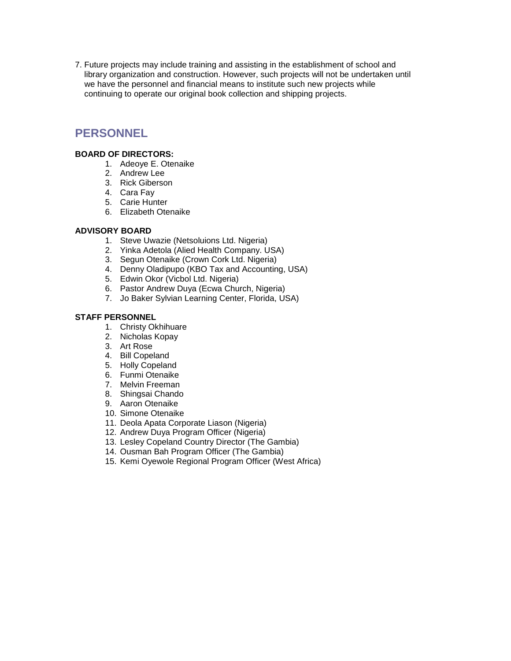7. Future projects may include training and assisting in the establishment of school and library organization and construction. However, such projects will not be undertaken until we have the personnel and financial means to institute such new projects while continuing to operate our original book collection and shipping projects.

## **PERSONNEL**

#### **BOARD OF DIRECTORS:**

- 1. Adeoye E. Otenaike
- 2. Andrew Lee
- 3. Rick Giberson
- 4. Cara Fay
- 5. Carie Hunter
- 6. Elizabeth Otenaike

#### **ADVISORY BOARD**

- 1. Steve Uwazie (Netsoluions Ltd. Nigeria)
- 2. Yinka Adetola (Alied Health Company. USA)
- 3. Segun Otenaike (Crown Cork Ltd. Nigeria)
- 4. Denny Oladipupo (KBO Tax and Accounting, USA)
- 5. Edwin Okor (Vicbol Ltd. Nigeria)
- 6. Pastor Andrew Duya (Ecwa Church, Nigeria)
- 7. Jo Baker Sylvian Learning Center, Florida, USA)

#### **STAFF PERSONNEL**

- 1. Christy Okhihuare
- 2. Nicholas Kopay
- 3. Art Rose
- 4. Bill Copeland
- 5. Holly Copeland
- 6. Funmi Otenaike
- 7. Melvin Freeman
- 8. Shingsai Chando
- 9. Aaron Otenaike
- 10. Simone Otenaike
- 11. Deola Apata Corporate Liason (Nigeria)
- 12. Andrew Duya Program Officer (Nigeria)
- 13. Lesley Copeland Country Director (The Gambia)
- 14. Ousman Bah Program Officer (The Gambia)
- 15. Kemi Oyewole Regional Program Officer (West Africa)